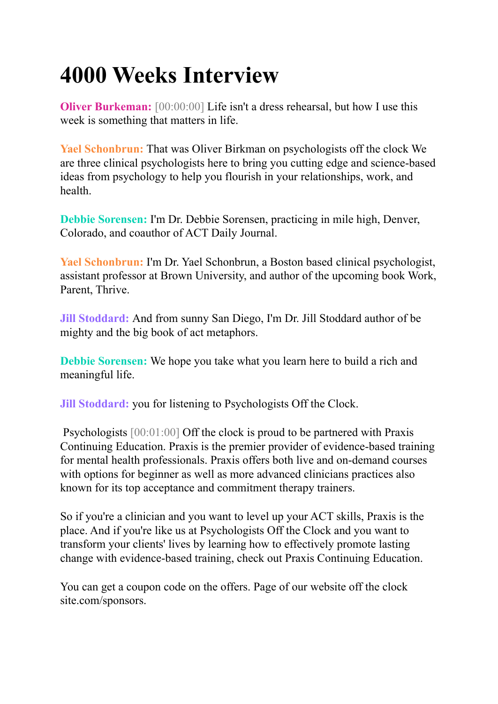## **4000 Weeks Interview**

**Oliver Burkeman:** [00:00:00] Life isn't a dress rehearsal, but how I use this week is something that matters in life.

**Yael Schonbrun:** That was Oliver Birkman on psychologists off the clock We are three clinical psychologists here to bring you cutting edge and science-based ideas from psychology to help you flourish in your relationships, work, and health.

**Debbie Sorensen:** I'm Dr. Debbie Sorensen, practicing in mile high, Denver, Colorado, and coauthor of ACT Daily Journal.

**Yael Schonbrun:** I'm Dr. Yael Schonbrun, a Boston based clinical psychologist, assistant professor at Brown University, and author of the upcoming book Work, Parent, Thrive.

**Jill Stoddard:** And from sunny San Diego, I'm Dr. Jill Stoddard author of be mighty and the big book of act metaphors.

**Debbie Sorensen:** We hope you take what you learn here to build a rich and meaningful life.

**Jill Stoddard:** you for listening to Psychologists Off the Clock.

Psychologists [00:01:00] Off the clock is proud to be partnered with Praxis Continuing Education. Praxis is the premier provider of evidence-based training for mental health professionals. Praxis offers both live and on-demand courses with options for beginner as well as more advanced clinicians practices also known for its top acceptance and commitment therapy trainers.

So if you're a clinician and you want to level up your ACT skills, Praxis is the place. And if you're like us at Psychologists Off the Clock and you want to transform your clients' lives by learning how to effectively promote lasting change with evidence-based training, check out Praxis Continuing Education.

You can get a coupon code on the offers. Page of our website off the clock site.com/sponsors.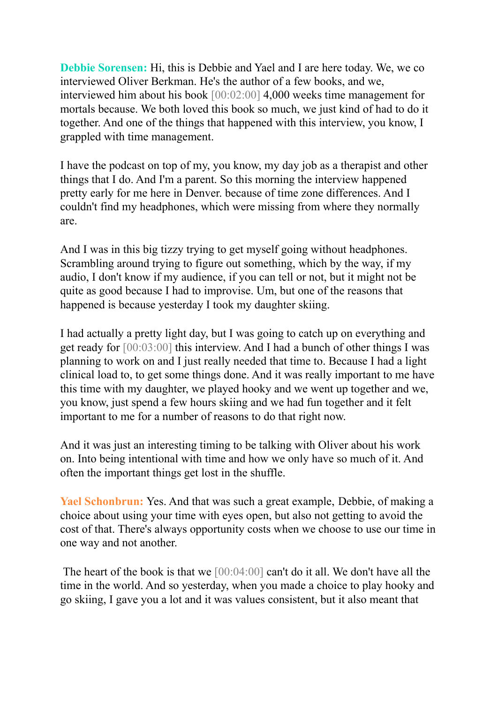**Debbie Sorensen:** Hi, this is Debbie and Yael and I are here today. We, we co interviewed Oliver Berkman. He's the author of a few books, and we, interviewed him about his book [00:02:00] 4,000 weeks time management for mortals because. We both loved this book so much, we just kind of had to do it together. And one of the things that happened with this interview, you know, I grappled with time management.

I have the podcast on top of my, you know, my day job as a therapist and other things that I do. And I'm a parent. So this morning the interview happened pretty early for me here in Denver. because of time zone differences. And I couldn't find my headphones, which were missing from where they normally are.

And I was in this big tizzy trying to get myself going without headphones. Scrambling around trying to figure out something, which by the way, if my audio, I don't know if my audience, if you can tell or not, but it might not be quite as good because I had to improvise. Um, but one of the reasons that happened is because yesterday I took my daughter skiing.

I had actually a pretty light day, but I was going to catch up on everything and get ready for [00:03:00] this interview. And I had a bunch of other things I was planning to work on and I just really needed that time to. Because I had a light clinical load to, to get some things done. And it was really important to me have this time with my daughter, we played hooky and we went up together and we, you know, just spend a few hours skiing and we had fun together and it felt important to me for a number of reasons to do that right now.

And it was just an interesting timing to be talking with Oliver about his work on. Into being intentional with time and how we only have so much of it. And often the important things get lost in the shuffle.

**Yael Schonbrun:** Yes. And that was such a great example, Debbie, of making a choice about using your time with eyes open, but also not getting to avoid the cost of that. There's always opportunity costs when we choose to use our time in one way and not another.

The heart of the book is that we [00:04:00] can't do it all. We don't have all the time in the world. And so yesterday, when you made a choice to play hooky and go skiing, I gave you a lot and it was values consistent, but it also meant that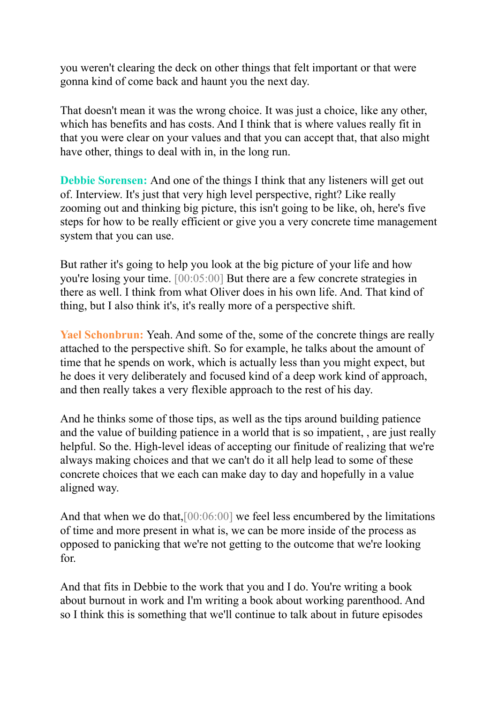you weren't clearing the deck on other things that felt important or that were gonna kind of come back and haunt you the next day.

That doesn't mean it was the wrong choice. It was just a choice, like any other, which has benefits and has costs. And I think that is where values really fit in that you were clear on your values and that you can accept that, that also might have other, things to deal with in, in the long run.

**Debbie Sorensen:** And one of the things I think that any listeners will get out of. Interview. It's just that very high level perspective, right? Like really zooming out and thinking big picture, this isn't going to be like, oh, here's five steps for how to be really efficient or give you a very concrete time management system that you can use.

But rather it's going to help you look at the big picture of your life and how you're losing your time. [00:05:00] But there are a few concrete strategies in there as well. I think from what Oliver does in his own life. And. That kind of thing, but I also think it's, it's really more of a perspective shift.

**Yael Schonbrun:** Yeah. And some of the, some of the concrete things are really attached to the perspective shift. So for example, he talks about the amount of time that he spends on work, which is actually less than you might expect, but he does it very deliberately and focused kind of a deep work kind of approach, and then really takes a very flexible approach to the rest of his day.

And he thinks some of those tips, as well as the tips around building patience and the value of building patience in a world that is so impatient, , are just really helpful. So the. High-level ideas of accepting our finitude of realizing that we're always making choices and that we can't do it all help lead to some of these concrete choices that we each can make day to day and hopefully in a value aligned way.

And that when we do that, [00:06:00] we feel less encumbered by the limitations of time and more present in what is, we can be more inside of the process as opposed to panicking that we're not getting to the outcome that we're looking for.

And that fits in Debbie to the work that you and I do. You're writing a book about burnout in work and I'm writing a book about working parenthood. And so I think this is something that we'll continue to talk about in future episodes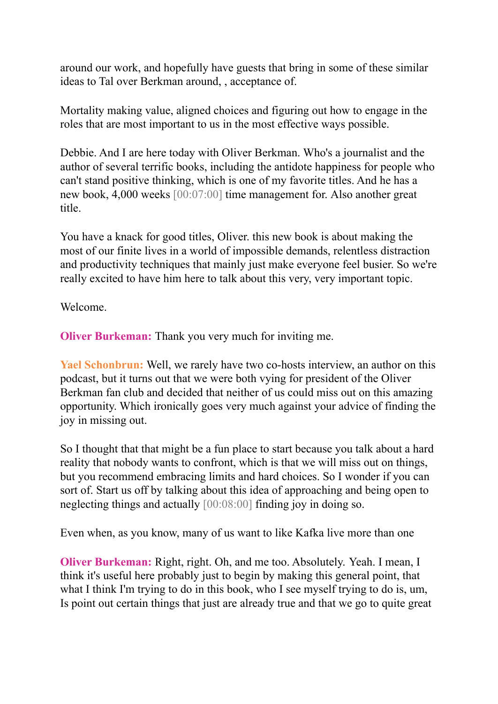around our work, and hopefully have guests that bring in some of these similar ideas to Tal over Berkman around, , acceptance of.

Mortality making value, aligned choices and figuring out how to engage in the roles that are most important to us in the most effective ways possible.

Debbie. And I are here today with Oliver Berkman. Who's a journalist and the author of several terrific books, including the antidote happiness for people who can't stand positive thinking, which is one of my favorite titles. And he has a new book, 4,000 weeks [00:07:00] time management for. Also another great title.

You have a knack for good titles, Oliver. this new book is about making the most of our finite lives in a world of impossible demands, relentless distraction and productivity techniques that mainly just make everyone feel busier. So we're really excited to have him here to talk about this very, very important topic.

Welcome.

**Oliver Burkeman:** Thank you very much for inviting me.

**Yael Schonbrun:** Well, we rarely have two co-hosts interview, an author on this podcast, but it turns out that we were both vying for president of the Oliver Berkman fan club and decided that neither of us could miss out on this amazing opportunity. Which ironically goes very much against your advice of finding the joy in missing out.

So I thought that that might be a fun place to start because you talk about a hard reality that nobody wants to confront, which is that we will miss out on things, but you recommend embracing limits and hard choices. So I wonder if you can sort of. Start us off by talking about this idea of approaching and being open to neglecting things and actually [00:08:00] finding joy in doing so.

Even when, as you know, many of us want to like Kafka live more than one

**Oliver Burkeman:** Right, right. Oh, and me too. Absolutely. Yeah. I mean, I think it's useful here probably just to begin by making this general point, that what I think I'm trying to do in this book, who I see myself trying to do is, um, Is point out certain things that just are already true and that we go to quite great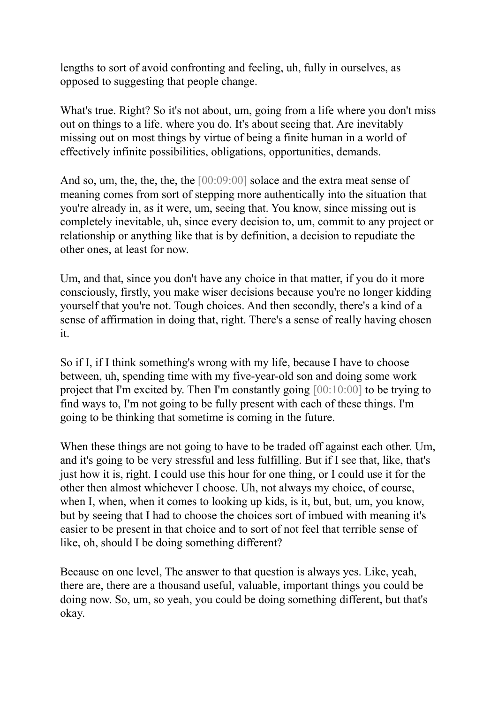lengths to sort of avoid confronting and feeling, uh, fully in ourselves, as opposed to suggesting that people change.

What's true. Right? So it's not about, um, going from a life where you don't miss out on things to a life. where you do. It's about seeing that. Are inevitably missing out on most things by virtue of being a finite human in a world of effectively infinite possibilities, obligations, opportunities, demands.

And so, um, the, the, the, the [00:09:00] solace and the extra meat sense of meaning comes from sort of stepping more authentically into the situation that you're already in, as it were, um, seeing that. You know, since missing out is completely inevitable, uh, since every decision to, um, commit to any project or relationship or anything like that is by definition, a decision to repudiate the other ones, at least for now.

Um, and that, since you don't have any choice in that matter, if you do it more consciously, firstly, you make wiser decisions because you're no longer kidding yourself that you're not. Tough choices. And then secondly, there's a kind of a sense of affirmation in doing that, right. There's a sense of really having chosen it.

So if I, if I think something's wrong with my life, because I have to choose between, uh, spending time with my five-year-old son and doing some work project that I'm excited by. Then I'm constantly going [00:10:00] to be trying to find ways to, I'm not going to be fully present with each of these things. I'm going to be thinking that sometime is coming in the future.

When these things are not going to have to be traded off against each other. Um, and it's going to be very stressful and less fulfilling. But if I see that, like, that's just how it is, right. I could use this hour for one thing, or I could use it for the other then almost whichever I choose. Uh, not always my choice, of course, when I, when, when it comes to looking up kids, is it, but, but, um, you know, but by seeing that I had to choose the choices sort of imbued with meaning it's easier to be present in that choice and to sort of not feel that terrible sense of like, oh, should I be doing something different?

Because on one level, The answer to that question is always yes. Like, yeah, there are, there are a thousand useful, valuable, important things you could be doing now. So, um, so yeah, you could be doing something different, but that's okay.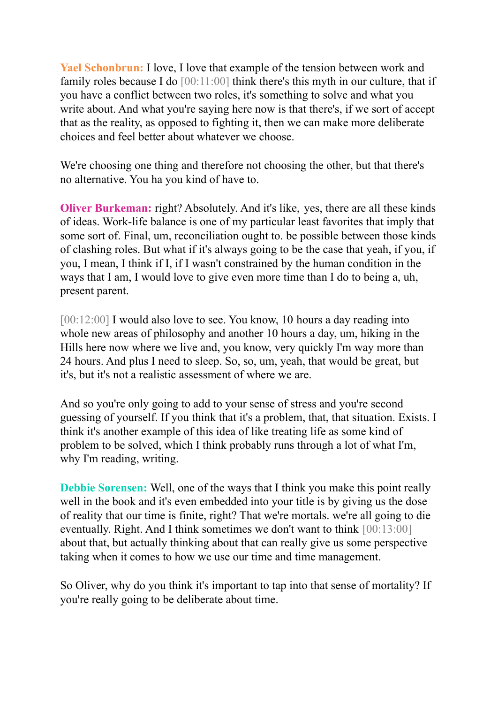**Yael Schonbrun:** I love, I love that example of the tension between work and family roles because I do [00:11:00] think there's this myth in our culture, that if you have a conflict between two roles, it's something to solve and what you write about. And what you're saying here now is that there's, if we sort of accept that as the reality, as opposed to fighting it, then we can make more deliberate choices and feel better about whatever we choose.

We're choosing one thing and therefore not choosing the other, but that there's no alternative. You ha you kind of have to.

**Oliver Burkeman:** right? Absolutely. And it's like, yes, there are all these kinds of ideas. Work-life balance is one of my particular least favorites that imply that some sort of. Final, um, reconciliation ought to. be possible between those kinds of clashing roles. But what if it's always going to be the case that yeah, if you, if you, I mean, I think if I, if I wasn't constrained by the human condition in the ways that I am, I would love to give even more time than I do to being a, uh, present parent.

[00:12:00] I would also love to see. You know, 10 hours a day reading into whole new areas of philosophy and another 10 hours a day, um, hiking in the Hills here now where we live and, you know, very quickly I'm way more than 24 hours. And plus I need to sleep. So, so, um, yeah, that would be great, but it's, but it's not a realistic assessment of where we are.

And so you're only going to add to your sense of stress and you're second guessing of yourself. If you think that it's a problem, that, that situation. Exists. I think it's another example of this idea of like treating life as some kind of problem to be solved, which I think probably runs through a lot of what I'm, why I'm reading, writing.

**Debbie Sorensen:** Well, one of the ways that I think you make this point really well in the book and it's even embedded into your title is by giving us the dose of reality that our time is finite, right? That we're mortals. we're all going to die eventually. Right. And I think sometimes we don't want to think [00:13:00] about that, but actually thinking about that can really give us some perspective taking when it comes to how we use our time and time management.

So Oliver, why do you think it's important to tap into that sense of mortality? If you're really going to be deliberate about time.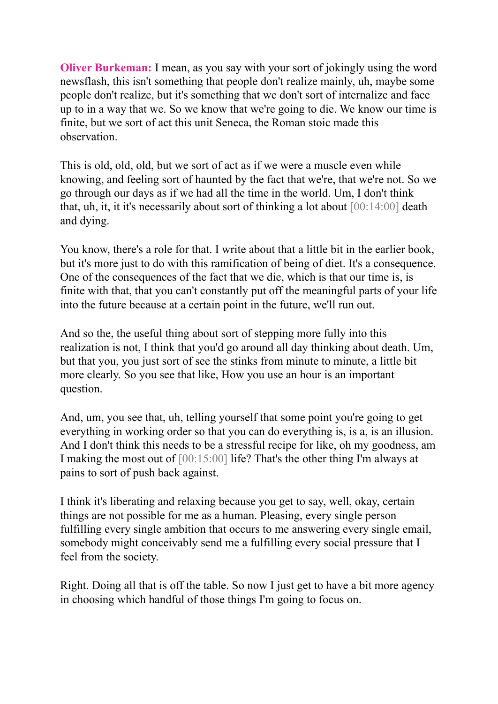**Oliver Burkeman:** I mean, as you say with your sort of jokingly using the word newsflash, this isn't something that people don't realize mainly, uh, maybe some people don't realize, but it's something that we don't sort of internalize and face up to in a way that we. So we know that we're going to die. We know our time is finite, but we sort of act this unit Seneca, the Roman stoic made this observation.

This is old, old, old, but we sort of act as if we were a muscle even while knowing, and feeling sort of haunted by the fact that we're, that we're not. So we go through our days as if we had all the time in the world. Um, I don't think that, uh, it, it it's necessarily about sort of thinking a lot about  $[00:14:00]$  death and dying.

You know, there's a role for that. I write about that a little bit in the earlier book, but it's more just to do with this ramification of being of diet. It's a consequence. One of the consequences of the fact that we die, which is that our time is, is finite with that, that you can't constantly put off the meaningful parts of your life into the future because at a certain point in the future, we'll run out.

And so the, the useful thing about sort of stepping more fully into this realization is not, I think that you'd go around all day thinking about death. Um, but that you, you just sort of see the stinks from minute to minute, a little bit more clearly. So you see that like, How you use an hour is an important question.

And, um, you see that, uh, telling yourself that some point you're going to get everything in working order so that you can do everything is, is a, is an illusion. And I don't think this needs to be a stressful recipe for like, oh my goodness, am I making the most out of [00:15:00] life? That's the other thing I'm always at pains to sort of push back against.

I think it's liberating and relaxing because you get to say, well, okay, certain things are not possible for me as a human. Pleasing, every single person fulfilling every single ambition that occurs to me answering every single email, somebody might conceivably send me a fulfilling every social pressure that I feel from the society.

Right. Doing all that is off the table. So now I just get to have a bit more agency in choosing which handful of those things I'm going to focus on.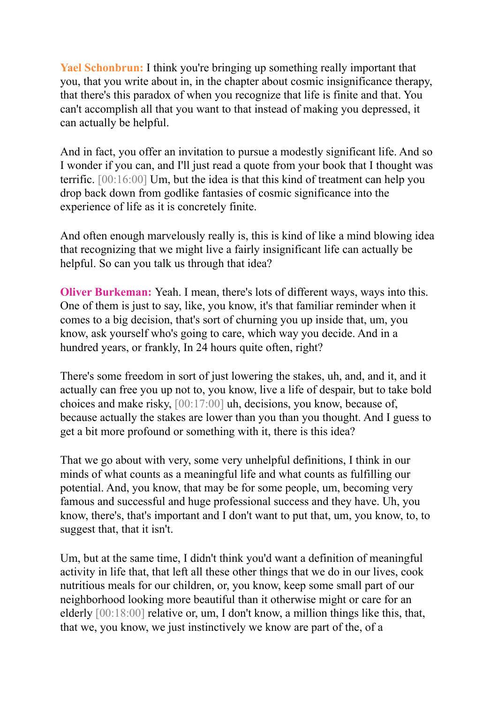**Yael Schonbrun:** I think you're bringing up something really important that you, that you write about in, in the chapter about cosmic insignificance therapy, that there's this paradox of when you recognize that life is finite and that. You can't accomplish all that you want to that instead of making you depressed, it can actually be helpful.

And in fact, you offer an invitation to pursue a modestly significant life. And so I wonder if you can, and I'll just read a quote from your book that I thought was terrific. [00:16:00] Um, but the idea is that this kind of treatment can help you drop back down from godlike fantasies of cosmic significance into the experience of life as it is concretely finite.

And often enough marvelously really is, this is kind of like a mind blowing idea that recognizing that we might live a fairly insignificant life can actually be helpful. So can you talk us through that idea?

**Oliver Burkeman:** Yeah. I mean, there's lots of different ways, ways into this. One of them is just to say, like, you know, it's that familiar reminder when it comes to a big decision, that's sort of churning you up inside that, um, you know, ask yourself who's going to care, which way you decide. And in a hundred years, or frankly, In 24 hours quite often, right?

There's some freedom in sort of just lowering the stakes, uh, and, and it, and it actually can free you up not to, you know, live a life of despair, but to take bold choices and make risky, [00:17:00] uh, decisions, you know, because of, because actually the stakes are lower than you than you thought. And I guess to get a bit more profound or something with it, there is this idea?

That we go about with very, some very unhelpful definitions, I think in our minds of what counts as a meaningful life and what counts as fulfilling our potential. And, you know, that may be for some people, um, becoming very famous and successful and huge professional success and they have. Uh, you know, there's, that's important and I don't want to put that, um, you know, to, to suggest that, that it isn't.

Um, but at the same time, I didn't think you'd want a definition of meaningful activity in life that, that left all these other things that we do in our lives, cook nutritious meals for our children, or, you know, keep some small part of our neighborhood looking more beautiful than it otherwise might or care for an elderly [00:18:00] relative or, um, I don't know, a million things like this, that, that we, you know, we just instinctively we know are part of the, of a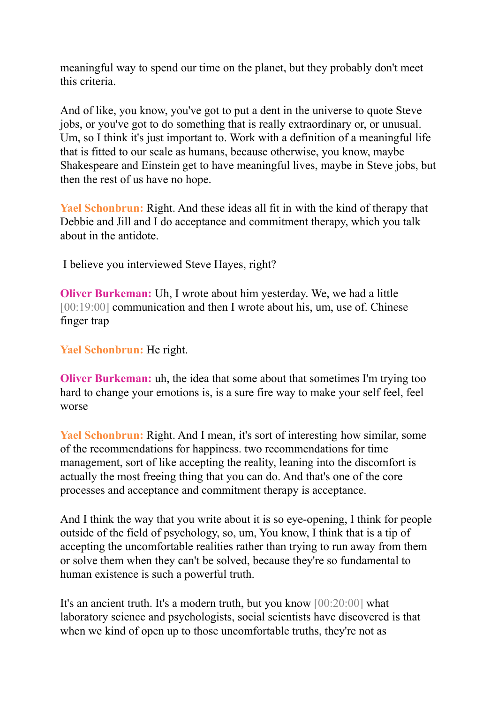meaningful way to spend our time on the planet, but they probably don't meet this criteria.

And of like, you know, you've got to put a dent in the universe to quote Steve jobs, or you've got to do something that is really extraordinary or, or unusual. Um, so I think it's just important to. Work with a definition of a meaningful life that is fitted to our scale as humans, because otherwise, you know, maybe Shakespeare and Einstein get to have meaningful lives, maybe in Steve jobs, but then the rest of us have no hope.

**Yael Schonbrun:** Right. And these ideas all fit in with the kind of therapy that Debbie and Jill and I do acceptance and commitment therapy, which you talk about in the antidote.

I believe you interviewed Steve Hayes, right?

**Oliver Burkeman:** Uh, I wrote about him yesterday. We, we had a little [00:19:00] communication and then I wrote about his, um, use of. Chinese finger trap

**Yael Schonbrun:** He right.

**Oliver Burkeman:** uh, the idea that some about that sometimes I'm trying too hard to change your emotions is, is a sure fire way to make your self feel, feel worse

**Yael Schonbrun:** Right. And I mean, it's sort of interesting how similar, some of the recommendations for happiness. two recommendations for time management, sort of like accepting the reality, leaning into the discomfort is actually the most freeing thing that you can do. And that's one of the core processes and acceptance and commitment therapy is acceptance.

And I think the way that you write about it is so eye-opening, I think for people outside of the field of psychology, so, um, You know, I think that is a tip of accepting the uncomfortable realities rather than trying to run away from them or solve them when they can't be solved, because they're so fundamental to human existence is such a powerful truth.

It's an ancient truth. It's a modern truth, but you know [00:20:00] what laboratory science and psychologists, social scientists have discovered is that when we kind of open up to those uncomfortable truths, they're not as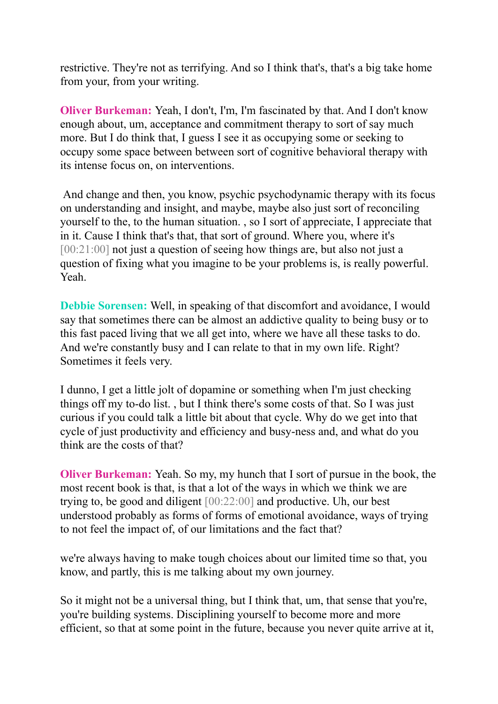restrictive. They're not as terrifying. And so I think that's, that's a big take home from your, from your writing.

**Oliver Burkeman:** Yeah, I don't, I'm, I'm fascinated by that. And I don't know enough about, um, acceptance and commitment therapy to sort of say much more. But I do think that, I guess I see it as occupying some or seeking to occupy some space between between sort of cognitive behavioral therapy with its intense focus on, on interventions.

And change and then, you know, psychic psychodynamic therapy with its focus on understanding and insight, and maybe, maybe also just sort of reconciling yourself to the, to the human situation. , so I sort of appreciate, I appreciate that in it. Cause I think that's that, that sort of ground. Where you, where it's [00:21:00] not just a question of seeing how things are, but also not just a question of fixing what you imagine to be your problems is, is really powerful. Yeah.

**Debbie Sorensen:** Well, in speaking of that discomfort and avoidance, I would say that sometimes there can be almost an addictive quality to being busy or to this fast paced living that we all get into, where we have all these tasks to do. And we're constantly busy and I can relate to that in my own life. Right? Sometimes it feels very.

I dunno, I get a little jolt of dopamine or something when I'm just checking things off my to-do list. , but I think there's some costs of that. So I was just curious if you could talk a little bit about that cycle. Why do we get into that cycle of just productivity and efficiency and busy-ness and, and what do you think are the costs of that?

**Oliver Burkeman:** Yeah. So my, my hunch that I sort of pursue in the book, the most recent book is that, is that a lot of the ways in which we think we are trying to, be good and diligent [00:22:00] and productive. Uh, our best understood probably as forms of forms of emotional avoidance, ways of trying to not feel the impact of, of our limitations and the fact that?

we're always having to make tough choices about our limited time so that, you know, and partly, this is me talking about my own journey.

So it might not be a universal thing, but I think that, um, that sense that you're, you're building systems. Disciplining yourself to become more and more efficient, so that at some point in the future, because you never quite arrive at it,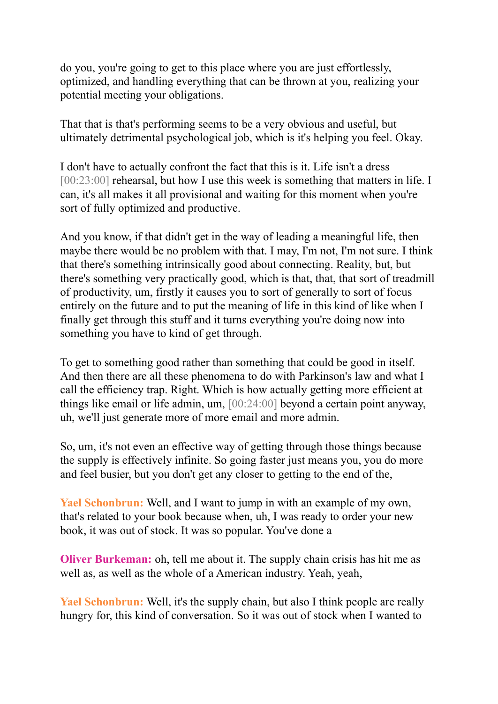do you, you're going to get to this place where you are just effortlessly, optimized, and handling everything that can be thrown at you, realizing your potential meeting your obligations.

That that is that's performing seems to be a very obvious and useful, but ultimately detrimental psychological job, which is it's helping you feel. Okay.

I don't have to actually confront the fact that this is it. Life isn't a dress [00:23:00] rehearsal, but how I use this week is something that matters in life. I can, it's all makes it all provisional and waiting for this moment when you're sort of fully optimized and productive.

And you know, if that didn't get in the way of leading a meaningful life, then maybe there would be no problem with that. I may, I'm not, I'm not sure. I think that there's something intrinsically good about connecting. Reality, but, but there's something very practically good, which is that, that, that sort of treadmill of productivity, um, firstly it causes you to sort of generally to sort of focus entirely on the future and to put the meaning of life in this kind of like when I finally get through this stuff and it turns everything you're doing now into something you have to kind of get through.

To get to something good rather than something that could be good in itself. And then there are all these phenomena to do with Parkinson's law and what I call the efficiency trap. Right. Which is how actually getting more efficient at things like email or life admin, um, [00:24:00] beyond a certain point anyway, uh, we'll just generate more of more email and more admin.

So, um, it's not even an effective way of getting through those things because the supply is effectively infinite. So going faster just means you, you do more and feel busier, but you don't get any closer to getting to the end of the,

**Yael Schonbrun:** Well, and I want to jump in with an example of my own, that's related to your book because when, uh, I was ready to order your new book, it was out of stock. It was so popular. You've done a

**Oliver Burkeman:** oh, tell me about it. The supply chain crisis has hit me as well as, as well as the whole of a American industry. Yeah, yeah,

**Yael Schonbrun:** Well, it's the supply chain, but also I think people are really hungry for, this kind of conversation. So it was out of stock when I wanted to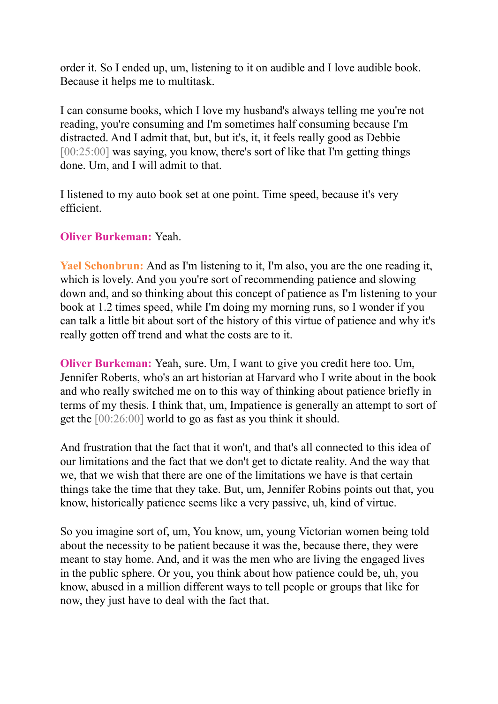order it. So I ended up, um, listening to it on audible and I love audible book. Because it helps me to multitask.

I can consume books, which I love my husband's always telling me you're not reading, you're consuming and I'm sometimes half consuming because I'm distracted. And I admit that, but, but it's, it, it feels really good as Debbie [00:25:00] was saying, you know, there's sort of like that I'm getting things done. Um, and I will admit to that.

I listened to my auto book set at one point. Time speed, because it's very efficient.

## **Oliver Burkeman:** Yeah.

**Yael Schonbrun:** And as I'm listening to it, I'm also, you are the one reading it, which is lovely. And you you're sort of recommending patience and slowing down and, and so thinking about this concept of patience as I'm listening to your book at 1.2 times speed, while I'm doing my morning runs, so I wonder if you can talk a little bit about sort of the history of this virtue of patience and why it's really gotten off trend and what the costs are to it.

**Oliver Burkeman:** Yeah, sure. Um, I want to give you credit here too. Um, Jennifer Roberts, who's an art historian at Harvard who I write about in the book and who really switched me on to this way of thinking about patience briefly in terms of my thesis. I think that, um, Impatience is generally an attempt to sort of get the [00:26:00] world to go as fast as you think it should.

And frustration that the fact that it won't, and that's all connected to this idea of our limitations and the fact that we don't get to dictate reality. And the way that we, that we wish that there are one of the limitations we have is that certain things take the time that they take. But, um, Jennifer Robins points out that, you know, historically patience seems like a very passive, uh, kind of virtue.

So you imagine sort of, um, You know, um, young Victorian women being told about the necessity to be patient because it was the, because there, they were meant to stay home. And, and it was the men who are living the engaged lives in the public sphere. Or you, you think about how patience could be, uh, you know, abused in a million different ways to tell people or groups that like for now, they just have to deal with the fact that.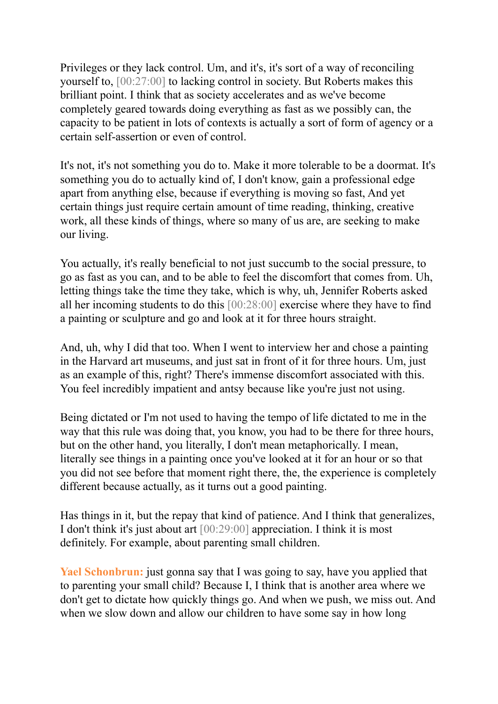Privileges or they lack control. Um, and it's, it's sort of a way of reconciling yourself to, [00:27:00] to lacking control in society. But Roberts makes this brilliant point. I think that as society accelerates and as we've become completely geared towards doing everything as fast as we possibly can, the capacity to be patient in lots of contexts is actually a sort of form of agency or a certain self-assertion or even of control.

It's not, it's not something you do to. Make it more tolerable to be a doormat. It's something you do to actually kind of, I don't know, gain a professional edge apart from anything else, because if everything is moving so fast, And yet certain things just require certain amount of time reading, thinking, creative work, all these kinds of things, where so many of us are, are seeking to make our living.

You actually, it's really beneficial to not just succumb to the social pressure, to go as fast as you can, and to be able to feel the discomfort that comes from. Uh, letting things take the time they take, which is why, uh, Jennifer Roberts asked all her incoming students to do this [00:28:00] exercise where they have to find a painting or sculpture and go and look at it for three hours straight.

And, uh, why I did that too. When I went to interview her and chose a painting in the Harvard art museums, and just sat in front of it for three hours. Um, just as an example of this, right? There's immense discomfort associated with this. You feel incredibly impatient and antsy because like you're just not using.

Being dictated or I'm not used to having the tempo of life dictated to me in the way that this rule was doing that, you know, you had to be there for three hours, but on the other hand, you literally, I don't mean metaphorically. I mean, literally see things in a painting once you've looked at it for an hour or so that you did not see before that moment right there, the, the experience is completely different because actually, as it turns out a good painting.

Has things in it, but the repay that kind of patience. And I think that generalizes, I don't think it's just about art [00:29:00] appreciation. I think it is most definitely. For example, about parenting small children.

**Yael Schonbrun:** just gonna say that I was going to say, have you applied that to parenting your small child? Because I, I think that is another area where we don't get to dictate how quickly things go. And when we push, we miss out. And when we slow down and allow our children to have some say in how long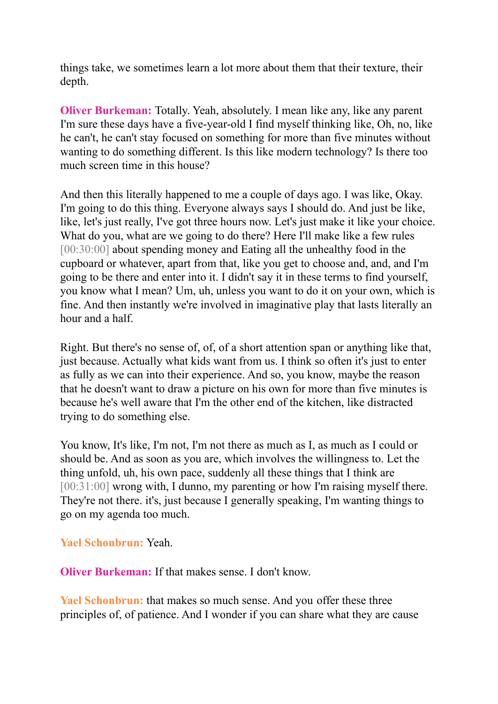things take, we sometimes learn a lot more about them that their texture, their depth.

**Oliver Burkeman:** Totally. Yeah, absolutely. I mean like any, like any parent I'm sure these days have a five-year-old I find myself thinking like, Oh, no, like he can't, he can't stay focused on something for more than five minutes without wanting to do something different. Is this like modern technology? Is there too much screen time in this house?

And then this literally happened to me a couple of days ago. I was like, Okay. I'm going to do this thing. Everyone always says I should do. And just be like, like, let's just really, I've got three hours now. Let's just make it like your choice. What do you, what are we going to do there? Here I'll make like a few rules [00:30:00] about spending money and Eating all the unhealthy food in the cupboard or whatever, apart from that, like you get to choose and, and, and I'm going to be there and enter into it. I didn't say it in these terms to find yourself, you know what I mean? Um, uh, unless you want to do it on your own, which is fine. And then instantly we're involved in imaginative play that lasts literally an hour and a half.

Right. But there's no sense of, of, of a short attention span or anything like that, just because. Actually what kids want from us. I think so often it's just to enter as fully as we can into their experience. And so, you know, maybe the reason that he doesn't want to draw a picture on his own for more than five minutes is because he's well aware that I'm the other end of the kitchen, like distracted trying to do something else.

You know, It's like, I'm not, I'm not there as much as I, as much as I could or should be. And as soon as you are, which involves the willingness to. Let the thing unfold, uh, his own pace, suddenly all these things that I think are [00:31:00] wrong with, I dunno, my parenting or how I'm raising myself there. They're not there. it's, just because I generally speaking, I'm wanting things to go on my agenda too much.

**Yael Schonbrun:** Yeah.

**Oliver Burkeman:** If that makes sense. I don't know.

**Yael Schonbrun:** that makes so much sense. And you offer these three principles of, of patience. And I wonder if you can share what they are cause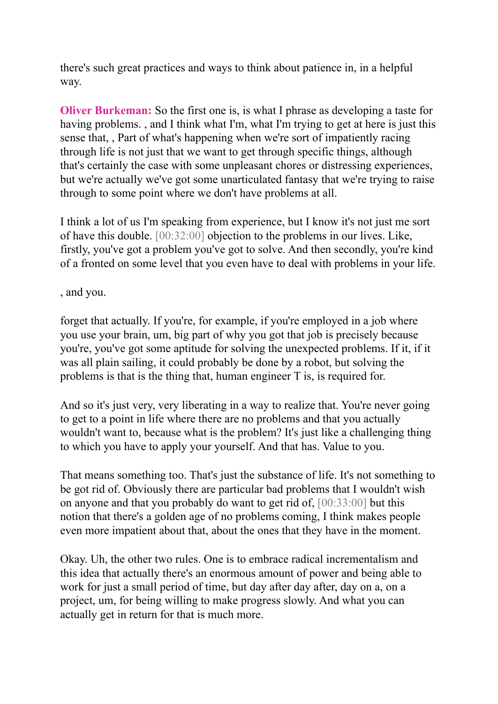there's such great practices and ways to think about patience in, in a helpful way.

**Oliver Burkeman:** So the first one is, is what I phrase as developing a taste for having problems. , and I think what I'm, what I'm trying to get at here is just this sense that, , Part of what's happening when we're sort of impatiently racing through life is not just that we want to get through specific things, although that's certainly the case with some unpleasant chores or distressing experiences, but we're actually we've got some unarticulated fantasy that we're trying to raise through to some point where we don't have problems at all.

I think a lot of us I'm speaking from experience, but I know it's not just me sort of have this double. [00:32:00] objection to the problems in our lives. Like, firstly, you've got a problem you've got to solve. And then secondly, you're kind of a fronted on some level that you even have to deal with problems in your life.

, and you.

forget that actually. If you're, for example, if you're employed in a job where you use your brain, um, big part of why you got that job is precisely because you're, you've got some aptitude for solving the unexpected problems. If it, if it was all plain sailing, it could probably be done by a robot, but solving the problems is that is the thing that, human engineer T is, is required for.

And so it's just very, very liberating in a way to realize that. You're never going to get to a point in life where there are no problems and that you actually wouldn't want to, because what is the problem? It's just like a challenging thing to which you have to apply your yourself. And that has. Value to you.

That means something too. That's just the substance of life. It's not something to be got rid of. Obviously there are particular bad problems that I wouldn't wish on anyone and that you probably do want to get rid of, [00:33:00] but this notion that there's a golden age of no problems coming, I think makes people even more impatient about that, about the ones that they have in the moment.

Okay. Uh, the other two rules. One is to embrace radical incrementalism and this idea that actually there's an enormous amount of power and being able to work for just a small period of time, but day after day after, day on a, on a project, um, for being willing to make progress slowly. And what you can actually get in return for that is much more.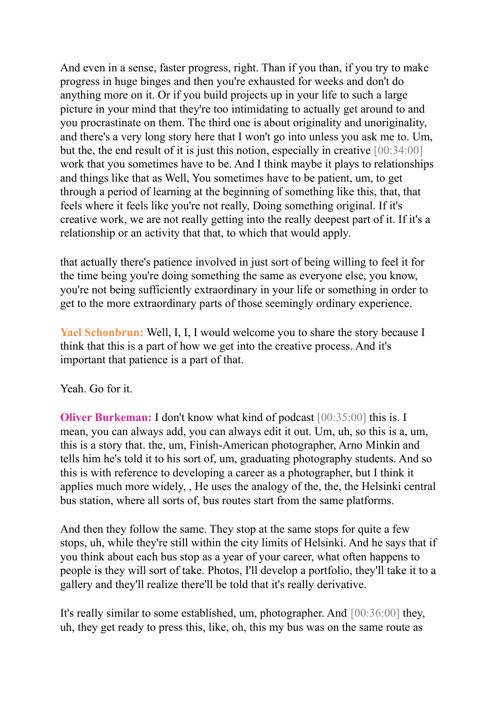And even in a sense, faster progress, right. Than if you than, if you try to make progress in huge binges and then you're exhausted for weeks and don't do anything more on it. Or if you build projects up in your life to such a large picture in your mind that they're too intimidating to actually get around to and you procrastinate on them. The third one is about originality and unoriginality, and there's a very long story here that I won't go into unless you ask me to. Um, but the, the end result of it is just this notion, especially in creative [00:34:00] work that you sometimes have to be. And I think maybe it plays to relationships and things like that as Well, You sometimes have to be patient, um, to get through a period of learning at the beginning of something like this, that, that feels where it feels like you're not really, Doing something original. If it's creative work, we are not really getting into the really deepest part of it. If it's a relationship or an activity that that, to which that would apply.

that actually there's patience involved in just sort of being willing to feel it for the time being you're doing something the same as everyone else, you know, you're not being sufficiently extraordinary in your life or something in order to get to the more extraordinary parts of those seemingly ordinary experience.

**Yael Schonbrun:** Well, I, I, I would welcome you to share the story because I think that this is a part of how we get into the creative process. And it's important that patience is a part of that.

Yeah. Go for it.

**Oliver Burkeman:** I don't know what kind of podcast [00:35:00] this is. I mean, you can always add, you can always edit it out. Um, uh, so this is a, um, this is a story that. the, um, Finish-American photographer, Arno Minkin and tells him he's told it to his sort of, um, graduating photography students. And so this is with reference to developing a career as a photographer, but I think it applies much more widely, , He uses the analogy of the, the, the Helsinki central bus station, where all sorts of, bus routes start from the same platforms.

And then they follow the same. They stop at the same stops for quite a few stops, uh, while they're still within the city limits of Helsinki. And he says that if you think about each bus stop as a year of your career, what often happens to people is they will sort of take. Photos, I'll develop a portfolio, they'll take it to a gallery and they'll realize there'll be told that it's really derivative.

It's really similar to some established, um, photographer. And [00:36:00] they, uh, they get ready to press this, like, oh, this my bus was on the same route as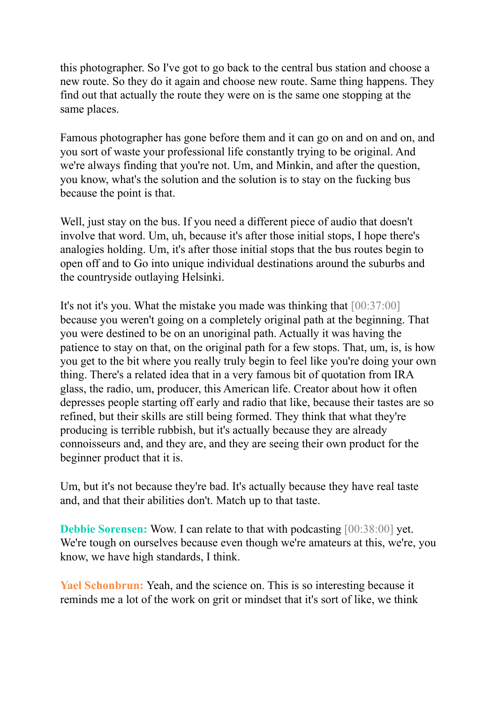this photographer. So I've got to go back to the central bus station and choose a new route. So they do it again and choose new route. Same thing happens. They find out that actually the route they were on is the same one stopping at the same places.

Famous photographer has gone before them and it can go on and on and on, and you sort of waste your professional life constantly trying to be original. And we're always finding that you're not. Um, and Minkin, and after the question, you know, what's the solution and the solution is to stay on the fucking bus because the point is that.

Well, just stay on the bus. If you need a different piece of audio that doesn't involve that word. Um, uh, because it's after those initial stops, I hope there's analogies holding. Um, it's after those initial stops that the bus routes begin to open off and to Go into unique individual destinations around the suburbs and the countryside outlaying Helsinki.

It's not it's you. What the mistake you made was thinking that [00:37:00] because you weren't going on a completely original path at the beginning. That you were destined to be on an unoriginal path. Actually it was having the patience to stay on that, on the original path for a few stops. That, um, is, is how you get to the bit where you really truly begin to feel like you're doing your own thing. There's a related idea that in a very famous bit of quotation from IRA glass, the radio, um, producer, this American life. Creator about how it often depresses people starting off early and radio that like, because their tastes are so refined, but their skills are still being formed. They think that what they're producing is terrible rubbish, but it's actually because they are already connoisseurs and, and they are, and they are seeing their own product for the beginner product that it is.

Um, but it's not because they're bad. It's actually because they have real taste and, and that their abilities don't. Match up to that taste.

**Debbie Sorensen:** Wow. I can relate to that with podcasting [00:38:00] yet. We're tough on ourselves because even though we're amateurs at this, we're, you know, we have high standards, I think.

**Yael Schonbrun:** Yeah, and the science on. This is so interesting because it reminds me a lot of the work on grit or mindset that it's sort of like, we think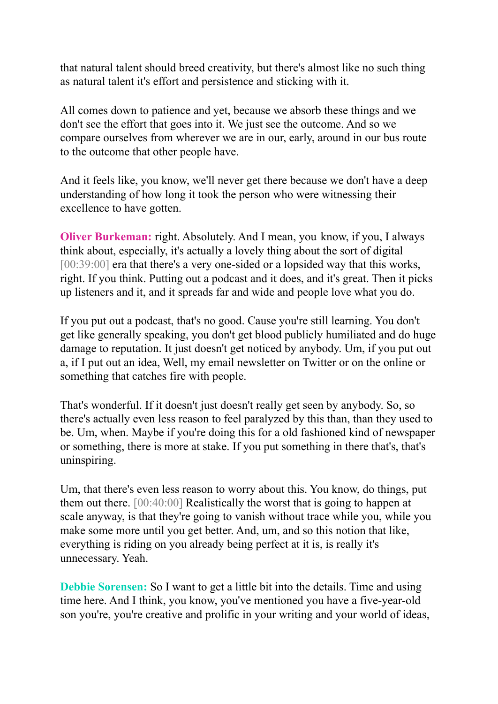that natural talent should breed creativity, but there's almost like no such thing as natural talent it's effort and persistence and sticking with it.

All comes down to patience and yet, because we absorb these things and we don't see the effort that goes into it. We just see the outcome. And so we compare ourselves from wherever we are in our, early, around in our bus route to the outcome that other people have.

And it feels like, you know, we'll never get there because we don't have a deep understanding of how long it took the person who were witnessing their excellence to have gotten.

**Oliver Burkeman:** right. Absolutely. And I mean, you know, if you, I always think about, especially, it's actually a lovely thing about the sort of digital [00:39:00] era that there's a very one-sided or a lopsided way that this works, right. If you think. Putting out a podcast and it does, and it's great. Then it picks up listeners and it, and it spreads far and wide and people love what you do.

If you put out a podcast, that's no good. Cause you're still learning. You don't get like generally speaking, you don't get blood publicly humiliated and do huge damage to reputation. It just doesn't get noticed by anybody. Um, if you put out a, if I put out an idea, Well, my email newsletter on Twitter or on the online or something that catches fire with people.

That's wonderful. If it doesn't just doesn't really get seen by anybody. So, so there's actually even less reason to feel paralyzed by this than, than they used to be. Um, when. Maybe if you're doing this for a old fashioned kind of newspaper or something, there is more at stake. If you put something in there that's, that's uninspiring.

Um, that there's even less reason to worry about this. You know, do things, put them out there. [00:40:00] Realistically the worst that is going to happen at scale anyway, is that they're going to vanish without trace while you, while you make some more until you get better. And, um, and so this notion that like, everything is riding on you already being perfect at it is, is really it's unnecessary. Yeah.

**Debbie Sorensen:** So I want to get a little bit into the details. Time and using time here. And I think, you know, you've mentioned you have a five-year-old son you're, you're creative and prolific in your writing and your world of ideas,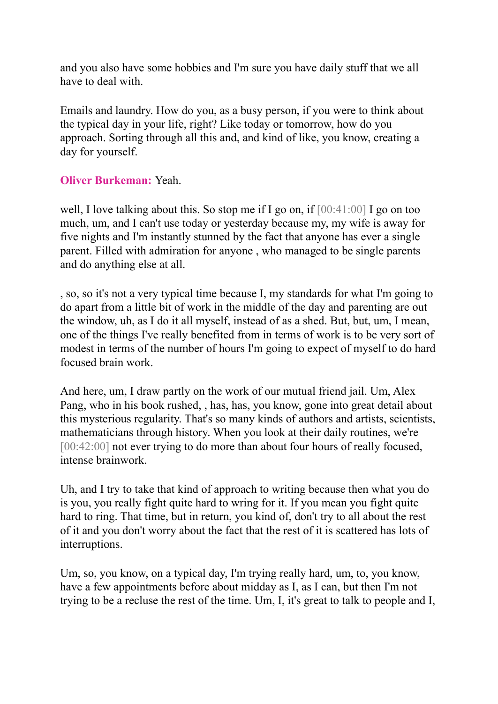and you also have some hobbies and I'm sure you have daily stuff that we all have to deal with.

Emails and laundry. How do you, as a busy person, if you were to think about the typical day in your life, right? Like today or tomorrow, how do you approach. Sorting through all this and, and kind of like, you know, creating a day for yourself.

## **Oliver Burkeman:** Yeah.

well, I love talking about this. So stop me if I go on, if  $[00:41:00]$  I go on too much, um, and I can't use today or yesterday because my, my wife is away for five nights and I'm instantly stunned by the fact that anyone has ever a single parent. Filled with admiration for anyone , who managed to be single parents and do anything else at all.

, so, so it's not a very typical time because I, my standards for what I'm going to do apart from a little bit of work in the middle of the day and parenting are out the window, uh, as I do it all myself, instead of as a shed. But, but, um, I mean, one of the things I've really benefited from in terms of work is to be very sort of modest in terms of the number of hours I'm going to expect of myself to do hard focused brain work.

And here, um, I draw partly on the work of our mutual friend jail. Um, Alex Pang, who in his book rushed, , has, has, you know, gone into great detail about this mysterious regularity. That's so many kinds of authors and artists, scientists, mathematicians through history. When you look at their daily routines, we're [00:42:00] not ever trying to do more than about four hours of really focused, intense brainwork.

Uh, and I try to take that kind of approach to writing because then what you do is you, you really fight quite hard to wring for it. If you mean you fight quite hard to ring. That time, but in return, you kind of, don't try to all about the rest of it and you don't worry about the fact that the rest of it is scattered has lots of interruptions.

Um, so, you know, on a typical day, I'm trying really hard, um, to, you know, have a few appointments before about midday as I, as I can, but then I'm not trying to be a recluse the rest of the time. Um, I, it's great to talk to people and I,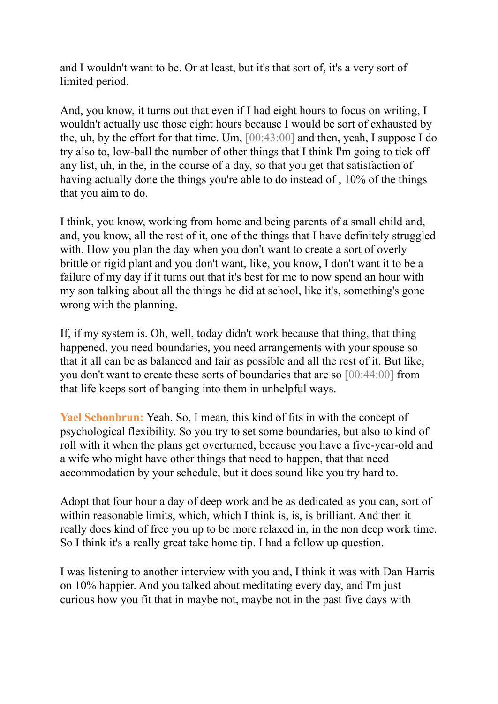and I wouldn't want to be. Or at least, but it's that sort of, it's a very sort of limited period.

And, you know, it turns out that even if I had eight hours to focus on writing, I wouldn't actually use those eight hours because I would be sort of exhausted by the, uh, by the effort for that time. Um, [00:43:00] and then, yeah, I suppose I do try also to, low-ball the number of other things that I think I'm going to tick off any list, uh, in the, in the course of a day, so that you get that satisfaction of having actually done the things you're able to do instead of , 10% of the things that you aim to do.

I think, you know, working from home and being parents of a small child and, and, you know, all the rest of it, one of the things that I have definitely struggled with. How you plan the day when you don't want to create a sort of overly brittle or rigid plant and you don't want, like, you know, I don't want it to be a failure of my day if it turns out that it's best for me to now spend an hour with my son talking about all the things he did at school, like it's, something's gone wrong with the planning.

If, if my system is. Oh, well, today didn't work because that thing, that thing happened, you need boundaries, you need arrangements with your spouse so that it all can be as balanced and fair as possible and all the rest of it. But like, you don't want to create these sorts of boundaries that are so [00:44:00] from that life keeps sort of banging into them in unhelpful ways.

**Yael Schonbrun:** Yeah. So, I mean, this kind of fits in with the concept of psychological flexibility. So you try to set some boundaries, but also to kind of roll with it when the plans get overturned, because you have a five-year-old and a wife who might have other things that need to happen, that that need accommodation by your schedule, but it does sound like you try hard to.

Adopt that four hour a day of deep work and be as dedicated as you can, sort of within reasonable limits, which, which I think is, is, is brilliant. And then it really does kind of free you up to be more relaxed in, in the non deep work time. So I think it's a really great take home tip. I had a follow up question.

I was listening to another interview with you and, I think it was with Dan Harris on 10% happier. And you talked about meditating every day, and I'm just curious how you fit that in maybe not, maybe not in the past five days with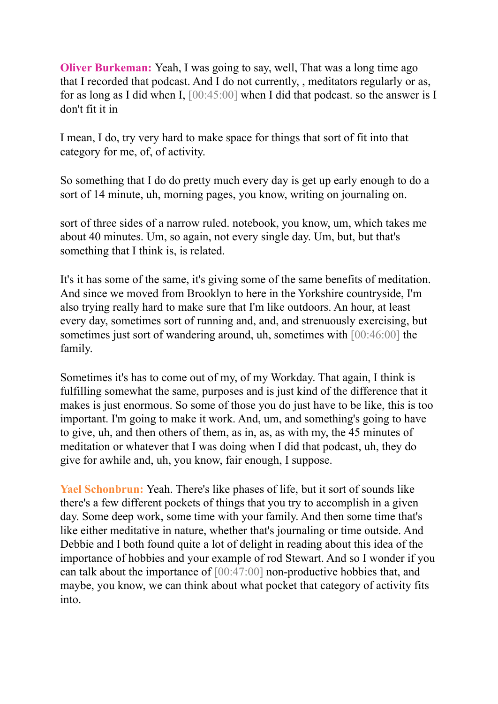**Oliver Burkeman:** Yeah, I was going to say, well, That was a long time ago that I recorded that podcast. And I do not currently, , meditators regularly or as, for as long as I did when I, [00:45:00] when I did that podcast. so the answer is I don't fit it in

I mean, I do, try very hard to make space for things that sort of fit into that category for me, of, of activity.

So something that I do do pretty much every day is get up early enough to do a sort of 14 minute, uh, morning pages, you know, writing on journaling on.

sort of three sides of a narrow ruled. notebook, you know, um, which takes me about 40 minutes. Um, so again, not every single day. Um, but, but that's something that I think is, is related.

It's it has some of the same, it's giving some of the same benefits of meditation. And since we moved from Brooklyn to here in the Yorkshire countryside, I'm also trying really hard to make sure that I'm like outdoors. An hour, at least every day, sometimes sort of running and, and, and strenuously exercising, but sometimes just sort of wandering around, uh, sometimes with [00:46:00] the family.

Sometimes it's has to come out of my, of my Workday. That again, I think is fulfilling somewhat the same, purposes and is just kind of the difference that it makes is just enormous. So some of those you do just have to be like, this is too important. I'm going to make it work. And, um, and something's going to have to give, uh, and then others of them, as in, as, as with my, the 45 minutes of meditation or whatever that I was doing when I did that podcast, uh, they do give for awhile and, uh, you know, fair enough, I suppose.

**Yael Schonbrun:** Yeah. There's like phases of life, but it sort of sounds like there's a few different pockets of things that you try to accomplish in a given day. Some deep work, some time with your family. And then some time that's like either meditative in nature, whether that's journaling or time outside. And Debbie and I both found quite a lot of delight in reading about this idea of the importance of hobbies and your example of rod Stewart. And so I wonder if you can talk about the importance of [00:47:00] non-productive hobbies that, and maybe, you know, we can think about what pocket that category of activity fits into.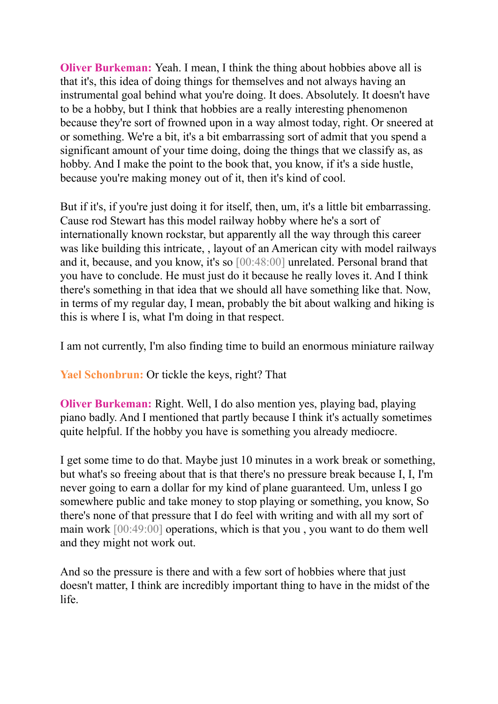**Oliver Burkeman:** Yeah. I mean, I think the thing about hobbies above all is that it's, this idea of doing things for themselves and not always having an instrumental goal behind what you're doing. It does. Absolutely. It doesn't have to be a hobby, but I think that hobbies are a really interesting phenomenon because they're sort of frowned upon in a way almost today, right. Or sneered at or something. We're a bit, it's a bit embarrassing sort of admit that you spend a significant amount of your time doing, doing the things that we classify as, as hobby. And I make the point to the book that, you know, if it's a side hustle, because you're making money out of it, then it's kind of cool.

But if it's, if you're just doing it for itself, then, um, it's a little bit embarrassing. Cause rod Stewart has this model railway hobby where he's a sort of internationally known rockstar, but apparently all the way through this career was like building this intricate, , layout of an American city with model railways and it, because, and you know, it's so [00:48:00] unrelated. Personal brand that you have to conclude. He must just do it because he really loves it. And I think there's something in that idea that we should all have something like that. Now, in terms of my regular day, I mean, probably the bit about walking and hiking is this is where I is, what I'm doing in that respect.

I am not currently, I'm also finding time to build an enormous miniature railway

**Yael Schonbrun:** Or tickle the keys, right? That

**Oliver Burkeman:** Right. Well, I do also mention yes, playing bad, playing piano badly. And I mentioned that partly because I think it's actually sometimes quite helpful. If the hobby you have is something you already mediocre.

I get some time to do that. Maybe just 10 minutes in a work break or something, but what's so freeing about that is that there's no pressure break because I, I, I'm never going to earn a dollar for my kind of plane guaranteed. Um, unless I go somewhere public and take money to stop playing or something, you know, So there's none of that pressure that I do feel with writing and with all my sort of main work [00:49:00] operations, which is that you , you want to do them well and they might not work out.

And so the pressure is there and with a few sort of hobbies where that just doesn't matter, I think are incredibly important thing to have in the midst of the life.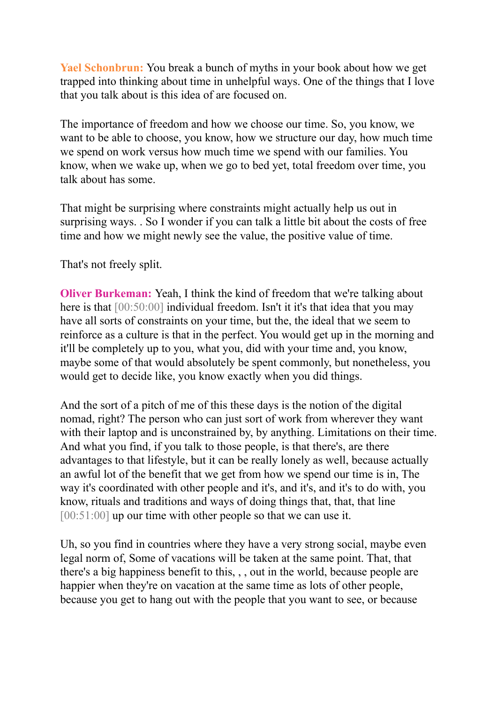**Yael Schonbrun:** You break a bunch of myths in your book about how we get trapped into thinking about time in unhelpful ways. One of the things that I love that you talk about is this idea of are focused on.

The importance of freedom and how we choose our time. So, you know, we want to be able to choose, you know, how we structure our day, how much time we spend on work versus how much time we spend with our families. You know, when we wake up, when we go to bed yet, total freedom over time, you talk about has some.

That might be surprising where constraints might actually help us out in surprising ways. . So I wonder if you can talk a little bit about the costs of free time and how we might newly see the value, the positive value of time.

That's not freely split.

**Oliver Burkeman:** Yeah, I think the kind of freedom that we're talking about here is that  $[00:50:00]$  individual freedom. Isn't it it's that idea that you may have all sorts of constraints on your time, but the, the ideal that we seem to reinforce as a culture is that in the perfect. You would get up in the morning and it'll be completely up to you, what you, did with your time and, you know, maybe some of that would absolutely be spent commonly, but nonetheless, you would get to decide like, you know exactly when you did things.

And the sort of a pitch of me of this these days is the notion of the digital nomad, right? The person who can just sort of work from wherever they want with their laptop and is unconstrained by, by anything. Limitations on their time. And what you find, if you talk to those people, is that there's, are there advantages to that lifestyle, but it can be really lonely as well, because actually an awful lot of the benefit that we get from how we spend our time is in, The way it's coordinated with other people and it's, and it's, and it's to do with, you know, rituals and traditions and ways of doing things that, that, that line [00:51:00] up our time with other people so that we can use it.

Uh, so you find in countries where they have a very strong social, maybe even legal norm of, Some of vacations will be taken at the same point. That, that there's a big happiness benefit to this, , , out in the world, because people are happier when they're on vacation at the same time as lots of other people, because you get to hang out with the people that you want to see, or because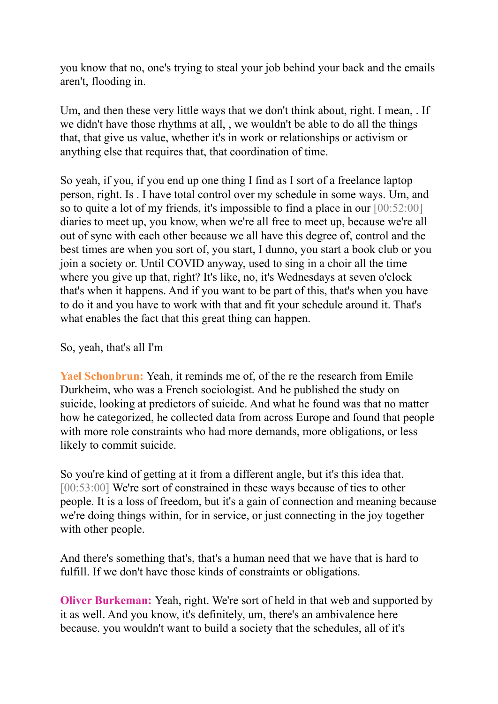you know that no, one's trying to steal your job behind your back and the emails aren't, flooding in.

Um, and then these very little ways that we don't think about, right. I mean, . If we didn't have those rhythms at all, , we wouldn't be able to do all the things that, that give us value, whether it's in work or relationships or activism or anything else that requires that, that coordination of time.

So yeah, if you, if you end up one thing I find as I sort of a freelance laptop person, right. Is . I have total control over my schedule in some ways. Um, and so to quite a lot of my friends, it's impossible to find a place in our [00:52:00] diaries to meet up, you know, when we're all free to meet up, because we're all out of sync with each other because we all have this degree of, control and the best times are when you sort of, you start, I dunno, you start a book club or you join a society or. Until COVID anyway, used to sing in a choir all the time where you give up that, right? It's like, no, it's Wednesdays at seven o'clock that's when it happens. And if you want to be part of this, that's when you have to do it and you have to work with that and fit your schedule around it. That's what enables the fact that this great thing can happen.

## So, yeah, that's all I'm

**Yael Schonbrun:** Yeah, it reminds me of, of the re the research from Emile Durkheim, who was a French sociologist. And he published the study on suicide, looking at predictors of suicide. And what he found was that no matter how he categorized, he collected data from across Europe and found that people with more role constraints who had more demands, more obligations, or less likely to commit suicide.

So you're kind of getting at it from a different angle, but it's this idea that. [00:53:00] We're sort of constrained in these ways because of ties to other people. It is a loss of freedom, but it's a gain of connection and meaning because we're doing things within, for in service, or just connecting in the joy together with other people.

And there's something that's, that's a human need that we have that is hard to fulfill. If we don't have those kinds of constraints or obligations.

**Oliver Burkeman:** Yeah, right. We're sort of held in that web and supported by it as well. And you know, it's definitely, um, there's an ambivalence here because. you wouldn't want to build a society that the schedules, all of it's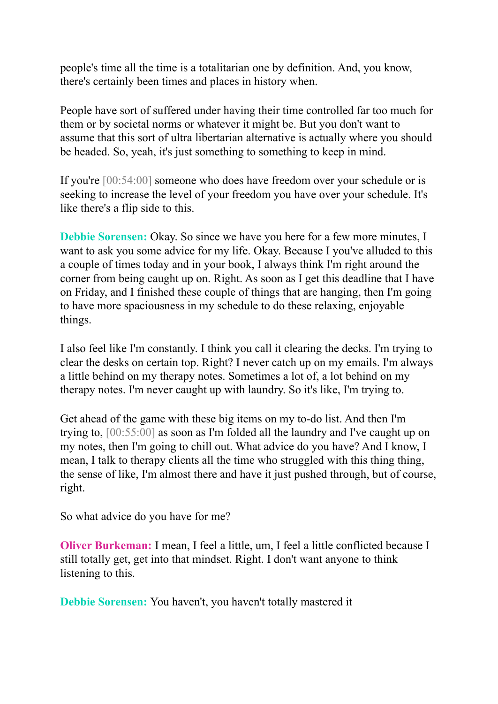people's time all the time is a totalitarian one by definition. And, you know, there's certainly been times and places in history when.

People have sort of suffered under having their time controlled far too much for them or by societal norms or whatever it might be. But you don't want to assume that this sort of ultra libertarian alternative is actually where you should be headed. So, yeah, it's just something to something to keep in mind.

If you're [00:54:00] someone who does have freedom over your schedule or is seeking to increase the level of your freedom you have over your schedule. It's like there's a flip side to this.

**Debbie Sorensen:** Okay. So since we have you here for a few more minutes, I want to ask you some advice for my life. Okay. Because I you've alluded to this a couple of times today and in your book, I always think I'm right around the corner from being caught up on. Right. As soon as I get this deadline that I have on Friday, and I finished these couple of things that are hanging, then I'm going to have more spaciousness in my schedule to do these relaxing, enjoyable things.

I also feel like I'm constantly. I think you call it clearing the decks. I'm trying to clear the desks on certain top. Right? I never catch up on my emails. I'm always a little behind on my therapy notes. Sometimes a lot of, a lot behind on my therapy notes. I'm never caught up with laundry. So it's like, I'm trying to.

Get ahead of the game with these big items on my to-do list. And then I'm trying to, [00:55:00] as soon as I'm folded all the laundry and I've caught up on my notes, then I'm going to chill out. What advice do you have? And I know, I mean, I talk to therapy clients all the time who struggled with this thing thing, the sense of like, I'm almost there and have it just pushed through, but of course, right.

So what advice do you have for me?

**Oliver Burkeman:** I mean, I feel a little, um, I feel a little conflicted because I still totally get, get into that mindset. Right. I don't want anyone to think listening to this.

**Debbie Sorensen:** You haven't, you haven't totally mastered it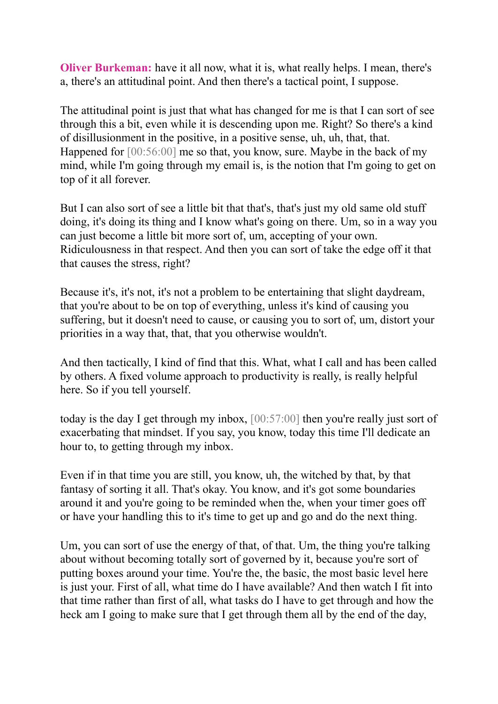**Oliver Burkeman:** have it all now, what it is, what really helps. I mean, there's a, there's an attitudinal point. And then there's a tactical point, I suppose.

The attitudinal point is just that what has changed for me is that I can sort of see through this a bit, even while it is descending upon me. Right? So there's a kind of disillusionment in the positive, in a positive sense, uh, uh, that, that. Happened for [00:56:00] me so that, you know, sure. Maybe in the back of my mind, while I'm going through my email is, is the notion that I'm going to get on top of it all forever.

But I can also sort of see a little bit that that's, that's just my old same old stuff doing, it's doing its thing and I know what's going on there. Um, so in a way you can just become a little bit more sort of, um, accepting of your own. Ridiculousness in that respect. And then you can sort of take the edge off it that that causes the stress, right?

Because it's, it's not, it's not a problem to be entertaining that slight daydream, that you're about to be on top of everything, unless it's kind of causing you suffering, but it doesn't need to cause, or causing you to sort of, um, distort your priorities in a way that, that, that you otherwise wouldn't.

And then tactically, I kind of find that this. What, what I call and has been called by others. A fixed volume approach to productivity is really, is really helpful here. So if you tell yourself.

today is the day I get through my inbox, [00:57:00] then you're really just sort of exacerbating that mindset. If you say, you know, today this time I'll dedicate an hour to, to getting through my inbox.

Even if in that time you are still, you know, uh, the witched by that, by that fantasy of sorting it all. That's okay. You know, and it's got some boundaries around it and you're going to be reminded when the, when your timer goes off or have your handling this to it's time to get up and go and do the next thing.

Um, you can sort of use the energy of that, of that. Um, the thing you're talking about without becoming totally sort of governed by it, because you're sort of putting boxes around your time. You're the, the basic, the most basic level here is just your. First of all, what time do I have available? And then watch I fit into that time rather than first of all, what tasks do I have to get through and how the heck am I going to make sure that I get through them all by the end of the day,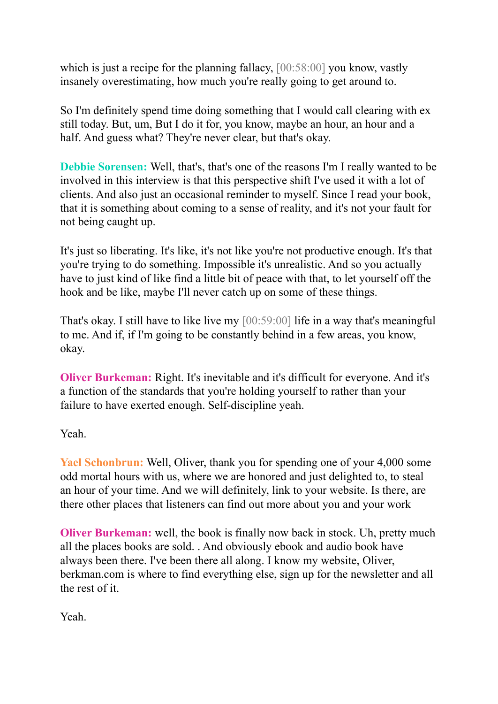which is just a recipe for the planning fallacy,  $[00:58:00]$  you know, vastly insanely overestimating, how much you're really going to get around to.

So I'm definitely spend time doing something that I would call clearing with ex still today. But, um, But I do it for, you know, maybe an hour, an hour and a half. And guess what? They're never clear, but that's okay.

**Debbie Sorensen:** Well, that's, that's one of the reasons I'm I really wanted to be involved in this interview is that this perspective shift I've used it with a lot of clients. And also just an occasional reminder to myself. Since I read your book, that it is something about coming to a sense of reality, and it's not your fault for not being caught up.

It's just so liberating. It's like, it's not like you're not productive enough. It's that you're trying to do something. Impossible it's unrealistic. And so you actually have to just kind of like find a little bit of peace with that, to let yourself off the hook and be like, maybe I'll never catch up on some of these things.

That's okay. I still have to like live my [00:59:00] life in a way that's meaningful to me. And if, if I'm going to be constantly behind in a few areas, you know, okay.

**Oliver Burkeman:** Right. It's inevitable and it's difficult for everyone. And it's a function of the standards that you're holding yourself to rather than your failure to have exerted enough. Self-discipline yeah.

Yeah.

**Yael Schonbrun:** Well, Oliver, thank you for spending one of your 4,000 some odd mortal hours with us, where we are honored and just delighted to, to steal an hour of your time. And we will definitely, link to your website. Is there, are there other places that listeners can find out more about you and your work

**Oliver Burkeman:** well, the book is finally now back in stock. Uh, pretty much all the places books are sold. . And obviously ebook and audio book have always been there. I've been there all along. I know my website, Oliver, berkman.com is where to find everything else, sign up for the newsletter and all the rest of it.

Yeah.